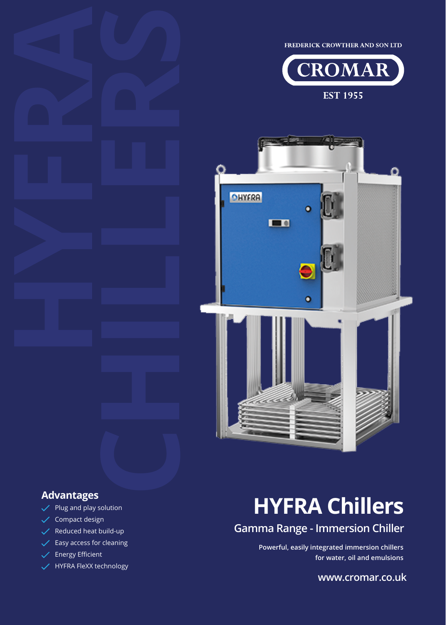FREDERICK CROWTHER AND SON LTD





 $\checkmark$  Plug and play solution

- $\checkmark$  Compact design
- $\sqrt{\phantom{a}}$  Reduced heat build-up
- $\checkmark$  Easy access for cleaning
- $\overline{\smash{\bigtriangledown}}$  Energy Efficient
- HYFRA FleXX technology

# Advantages<br>  $\sqrt{PIUg}$  and play solution<br> **HYFRA Chillers**

# **Gamma Range - Immersion Chiller**

**Powerful, easily integrated immersion chillers for water, oil and emulsions**

**www.cromar.co.uk**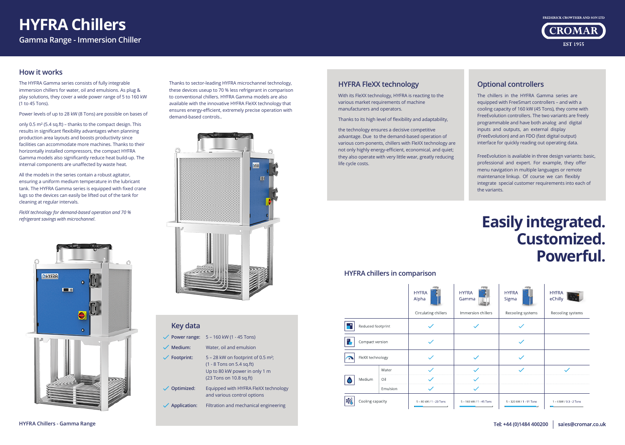## **HYFRA FleXX technology**

With its FleXX technology, HYFRA is reacting to the various market requirements of machine manufacturers and operators.

Thanks to its high level of flexibility and adaptability,

the technology ensures a decisive competitive advantage. Due to the demand-based operation of various com-ponents, chillers with FleXX technology are not only highly energy-efficient, economical, and quiet; they also operate with very little wear, greatly reducing life cycle costs.

| Key data            |                                                                                                                                             |
|---------------------|---------------------------------------------------------------------------------------------------------------------------------------------|
| Power range:        | 5 - 160 kW (1 - 45 Tons)                                                                                                                    |
| Medium:             | Water, oil and emulsion                                                                                                                     |
| Footprint:          | $5 - 28$ kW on footprint of 0.5 m <sup>2</sup> ;<br>$(1 - 8$ Tons on 5.4 sq.ft)<br>Up to 80 kW power in only 1 m<br>(23 Tons on 10.8 sq.ft) |
| Optimized:          | Equipped with HYFRA FleXX technology<br>and various control options                                                                         |
| <b>Application:</b> | Filtration and mechanical engineering                                                                                                       |
|                     |                                                                                                                                             |

### **How it works**

The HYFRA Gamma series consists of fully integrable immersion chillers for water, oil and emulsions. As plug & play solutions, they cover a wide power range of 5 to 160 kW (1 to 45 Tons).

Power levels of up to 28 kW (8 Tons) are possible on bases of

only 0.5 m² (5.4 sq.ft) – thanks to the compact design. This results in significant flexibility advantages when planning production area layouts and boosts productivity since facilities can accommodate more machines. Thanks to their horizontally installed compressors, the compact HYFRA Gamma models also significantly reduce heat build-up. The internal components are unaffected by waste heat.

All the models in the series contain a robust agitator, ensuring a uniform medium temperature in the lubricant tank. The HYFRA Gamma series is equipped with fixed crane lugs so the devices can easily be lifted out of the tank for cleaning at regular intervals.

*FleXX technology for demand-based operation and 70 % refrigerant savings with microchannel*.



Thanks to sector-leading HYFRA microchannel technology, these devices useup to 70 % less refrigerant in comparison to conventional chillers. HYFRA Gamma models are also available with the innovative HYFRA FleXX technology that ensures energy-efficient, extremely precise operation with demand-based controls..



### **Optional controllers**

The chillers in the HYFRA Gamma series are equipped with FreeSmart controllers – and with a cooling capacity of 160 kW (45 Tons), they come with FreeEvolution controllers. The two variants are freely programmable and have both analog and digital inputs and outputs, an external display (FreeEvolution) and an FDO (fast digital output) interface for quickly reading out operating data.

FreeEvolution is available in three design variants: basic, professional and expert. For example, they offer menu navigation in multiple languages or remote maintenance linkup. Of course we can flexibly integrate special customer requirements into each of the variants.

# **Easily integrated. Customized. Powerful.**

| FRA<br>mma           | <b>HYFRA</b><br>Sigma    | <b>HYFRA</b><br>eChilly |
|----------------------|--------------------------|-------------------------|
| mersion chillers     | Recooling systems        | Recooling systems       |
|                      |                          |                         |
|                      |                          |                         |
|                      |                          |                         |
|                      |                          |                         |
|                      |                          |                         |
|                      |                          |                         |
| 160 kW / 1 - 45 Tons | 5 - 320 kW / 1 - 91 Tons | 1 - 6 kW / 0.3 - 2 Tons |





#### **HYFRA chillers in comparison**

|    |                   |       | <b>HYFRA</b><br>Alpha   | HY<br>Ga |
|----|-------------------|-------|-------------------------|----------|
|    |                   |       | Circulating chillers    | Im       |
|    | Reduced footprint |       |                         |          |
| ٣, | Compact version   |       |                         |          |
|    | FleXX technology  |       |                         |          |
|    |                   | Water |                         |          |
|    | Medium            | Oil   |                         |          |
|    | Emulsion          |       |                         |          |
|    | Cooling capacity  |       | 5 - 80 kW / 1 - 23 Tons | $5 -$    |